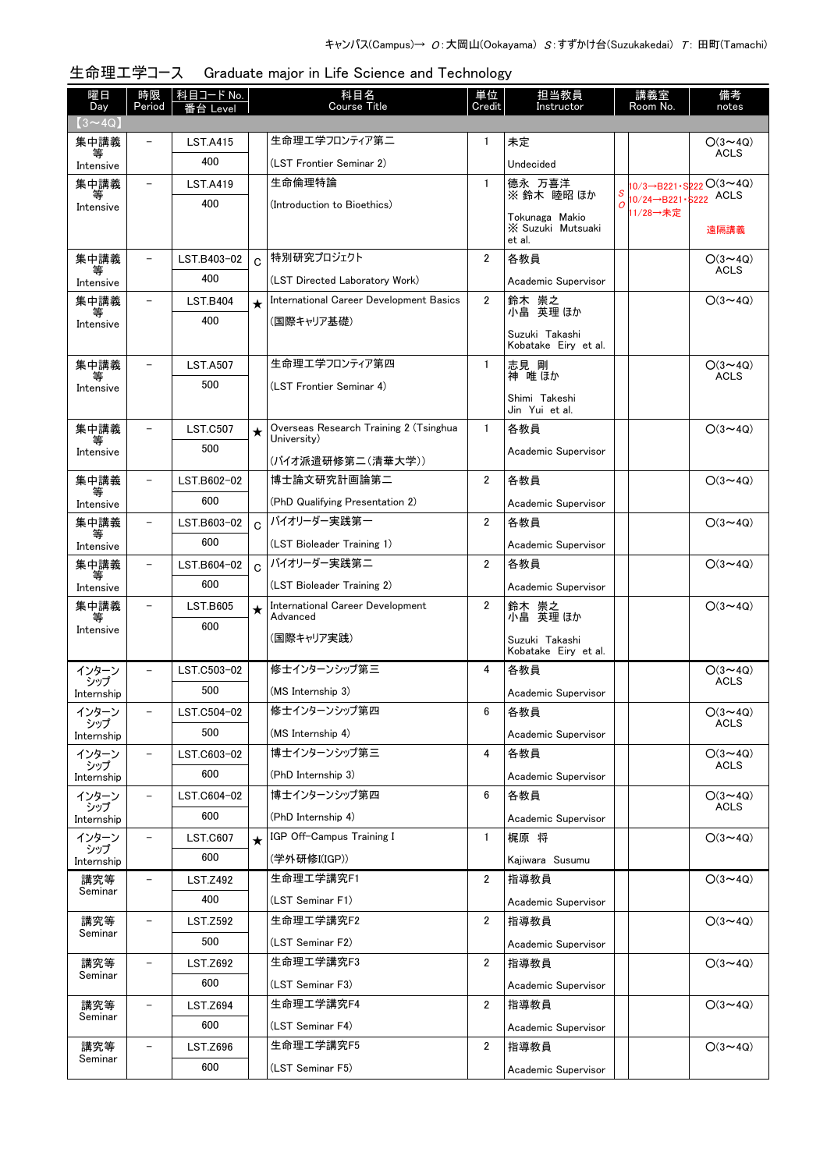| 曜日<br>Day         | 時限<br>Period             | <u>科目コード No.</u><br>番台 Level |                | 科目名<br><b>Course Title</b>                            | 単位<br>Credit   | 担当教員<br>Instructor                     |                | 講義室<br>Room No.                  | 備考<br>notes                   |
|-------------------|--------------------------|------------------------------|----------------|-------------------------------------------------------|----------------|----------------------------------------|----------------|----------------------------------|-------------------------------|
| $(3 \sim 4Q)$     |                          |                              |                |                                                       |                |                                        |                |                                  |                               |
| 集中講義              |                          | <b>LST.A415</b>              |                | 生命理エ学フロンティア第二                                         | 1              | 未定                                     |                |                                  | $O(3 \sim 4Q)$                |
| 等<br>Intensive    |                          | 400                          |                | (LST Frontier Seminar 2)                              |                | Undecided                              |                |                                  | <b>ACLS</b>                   |
| 集中講義<br>等         | $\overline{\phantom{m}}$ | <b>LST.A419</b>              |                | 生命倫理特論                                                | $\mathbf{1}$   | 德永 万喜洋<br>※鈴木 睦昭 ほか                    |                |                                  | 10/3→B221·S222O(3~4Q)         |
| Intensive         |                          | 400                          |                | (Introduction to Bioethics)                           |                | Tokunaga Makio                         | $\overline{O}$ | 10/24→B221·S222 ACLS<br>11/28→未定 |                               |
|                   |                          |                              |                |                                                       |                | X Suzuki Mutsuaki<br>et al.            |                |                                  | 遠隔講義                          |
| 集中講義              | $\overline{\phantom{a}}$ | LST.B403-02                  | $\overline{C}$ | 特別研究プロジェクト                                            | $\overline{2}$ | 各教員                                    |                |                                  | $O(3 \sim 4Q)$<br><b>ACLS</b> |
| 等<br>Intensive    |                          | 400                          |                | (LST Directed Laboratory Work)                        |                | Academic Supervisor                    |                |                                  |                               |
| 集中講義              | $\overline{\phantom{m}}$ | <b>LST.B404</b>              | $\star$        | International Career Development Basics               | $\overline{2}$ | 鈴木 崇之<br>小畠 英理 ほか                      |                |                                  | $O(3 \sim 4Q)$                |
| 等<br>Intensive    |                          | 400                          |                | (国際キャリア基礎)                                            |                |                                        |                |                                  |                               |
|                   |                          |                              |                |                                                       |                | Suzuki Takashi<br>Kobatake Eiry et al. |                |                                  |                               |
| 集中講義              |                          | <b>LST.A507</b>              |                | 生命理エ学フロンティア第四                                         | $\mathbf{1}$   | 志見 剛<br>神 唯 ほか                         |                |                                  | $O(3 \sim 4Q)$<br><b>ACLS</b> |
| Intensive         |                          | 500                          |                | (LST Frontier Seminar 4)                              |                |                                        |                |                                  |                               |
|                   |                          |                              |                |                                                       |                | Shimi Takeshi<br>Jin Yui et al.        |                |                                  |                               |
| 集中講義              |                          | <b>LST.C507</b>              | $\star$        | Overseas Research Training 2 (Tsinghua<br>University) | $\mathbf{1}$   | 各教員                                    |                |                                  | $O(3 \sim 4Q)$                |
| 等<br>Intensive    |                          | 500                          |                | (バイオ派遣研修第二(清華大学))                                     |                | Academic Supervisor                    |                |                                  |                               |
| 集中講義              |                          | LST.B602-02                  |                | 博士論文研究計画論第二                                           | $\overline{2}$ | 各教員                                    |                |                                  | $O(3 \sim 4Q)$                |
| 等<br>Intensive    |                          | 600                          |                | (PhD Qualifying Presentation 2)                       |                | Academic Supervisor                    |                |                                  |                               |
| 集中講義              |                          | LST.B603-02                  | $\mathbf C$    | バイオリーダー実践第一                                           | $\overline{2}$ | 各教員                                    |                |                                  | $O(3 \sim 4Q)$                |
| 等                 |                          | 600                          |                | (LST Bioleader Training 1)                            |                | Academic Supervisor                    |                |                                  |                               |
| Intensive<br>集中講義 |                          | LST.B604-02                  | $\mathbf C$    | バイオリーダー実践第二                                           | $\overline{2}$ | 各教員                                    |                |                                  | $O(3 \sim 4Q)$                |
|                   |                          | 600                          |                | (LST Bioleader Training 2)                            |                | Academic Supervisor                    |                |                                  |                               |
| Intensive<br>集中講義 |                          | <b>LST.B605</b>              | $\star$        | International Career Development                      | $\overline{2}$ |                                        |                |                                  | $O(3 \sim 4Q)$                |
| Intensive         |                          | 600                          |                | Advanced                                              |                | 鈴木 崇之<br>小畠 英理ほか                       |                |                                  |                               |
|                   |                          |                              |                | (国際キャリア実践)                                            |                | Suzuki Takashi<br>Kobatake Eiry et al. |                |                                  |                               |
| インターン             | $\overline{\phantom{0}}$ | LST.C503-02                  |                | 修士インターンシップ第三                                          | 4              | 各教員                                    |                |                                  | $O(3 \sim 4Q)$                |
| シップ<br>Internship |                          | 500                          |                | (MS Internship 3)                                     |                | Academic Supervisor                    |                |                                  | <b>ACLS</b>                   |
| インターン             |                          | LST.C504-02                  |                | 修士インターンシップ第四                                          | 6              | 各教員                                    |                |                                  | $O(3 \sim 4Q)$                |
| シップ<br>Internship |                          | 500                          |                | (MS Internship 4)                                     |                | Academic Supervisor                    |                |                                  | <b>ACLS</b>                   |
| インターン             | $\overline{\phantom{a}}$ | LST.C603-02                  |                | 博士インターンシップ第三                                          | 4              | 各教員                                    |                |                                  | $O(3 \sim 4Q)$                |
| シップ<br>Internship |                          | 600                          |                | (PhD Internship 3)                                    |                | Academic Supervisor                    |                |                                  | ACLS                          |
| インターン             | $\overline{\phantom{a}}$ | LST.C604-02                  |                | 博士インターンシップ第四                                          | 6              | 各教員                                    |                |                                  | $O(3 \sim 4Q)$                |
| シップ<br>Internship |                          | 600                          |                | (PhD Internship 4)                                    |                | Academic Supervisor                    |                |                                  | ACLS                          |
| インターン             |                          | <b>LST.C607</b>              | $\star$        | IGP Off-Campus Training I                             | $\mathbf{1}$   | 梶原 将                                   |                |                                  | $O(3 \sim 4Q)$                |
| シップ<br>Internship |                          | 600                          |                | (学外研修I(IGP))                                          |                | Kajiwara Susumu                        |                |                                  |                               |
| 講究等               |                          | <b>LST.Z492</b>              |                | 生命理工学講究F1                                             | $\overline{2}$ | 指導教員                                   |                |                                  | $O(3 \sim 4Q)$                |
| Seminar           |                          | 400                          |                | (LST Seminar F1)                                      |                | Academic Supervisor                    |                |                                  |                               |
| 講究等               | $\overline{\phantom{0}}$ | <b>LST.Z592</b>              |                | 生命理工学講究F2                                             | $\overline{2}$ | 指導教員                                   |                |                                  | $O(3 \sim 4Q)$                |
| Seminar           |                          | 500                          |                | (LST Seminar F2)                                      |                | Academic Supervisor                    |                |                                  |                               |
| 講究等               |                          | <b>LST.Z692</b>              |                | 生命理工学講究F3                                             | $\overline{2}$ | 指導教員                                   |                |                                  | $O(3 \sim 4Q)$                |
| Seminar           |                          | 600                          |                | (LST Seminar F3)                                      |                | Academic Supervisor                    |                |                                  |                               |
| 講究等               |                          | <b>LST.Z694</b>              |                | 生命理工学講究F4                                             | $\overline{2}$ | 指導教員                                   |                |                                  | $O(3 \sim 4Q)$                |
| Seminar           |                          | 600                          |                | (LST Seminar F4)                                      |                | Academic Supervisor                    |                |                                  |                               |
| 講究等               |                          | <b>LST.Z696</b>              |                | 生命理工学講究F5                                             | $\overline{2}$ | 指導教員                                   |                |                                  | $O(3 \sim 4Q)$                |
| Seminar           |                          | 600                          |                | (LST Seminar F5)                                      |                | Academic Supervisor                    |                |                                  |                               |

## 生命理工学コース Graduate major in Life Science and Technology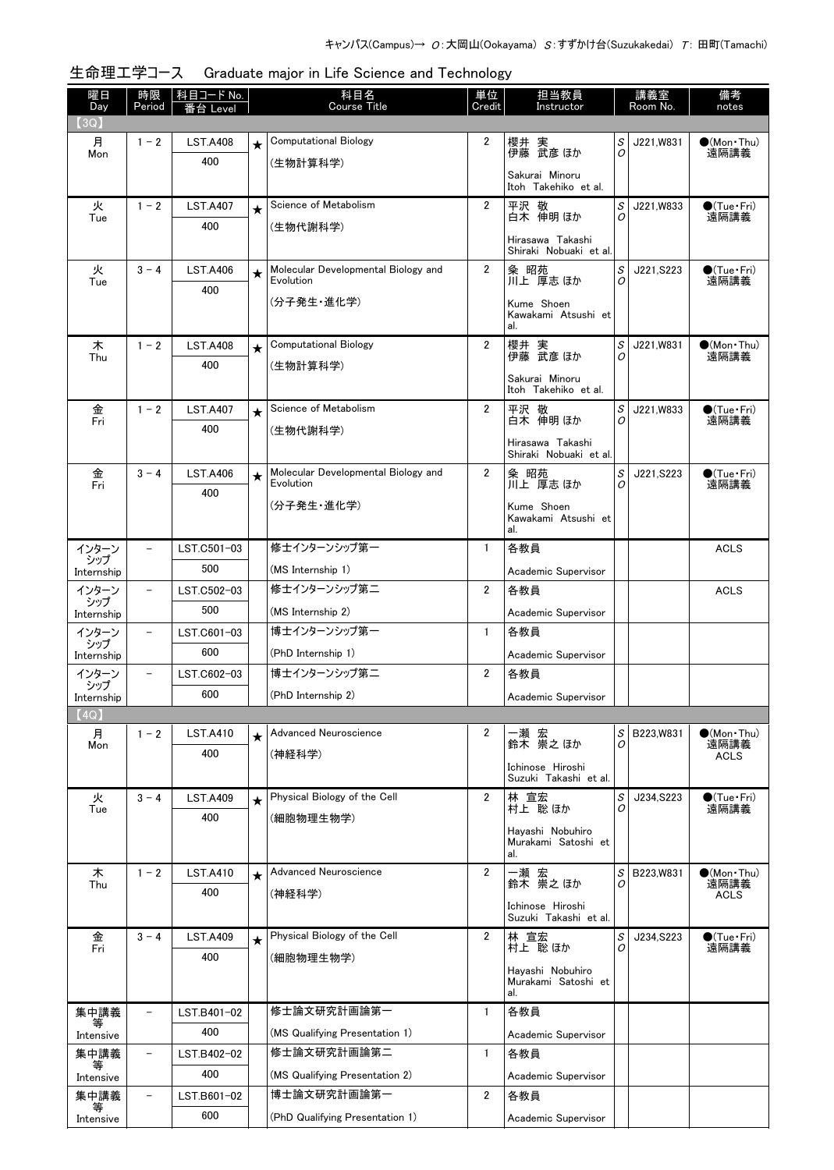| 曜日<br>Day         | 時限<br>Period             | <u>科目コード No.</u><br>番台 I evel |         | 科目名<br><b>Course Title</b>                       | 単位<br>Credit   | 担当教員<br>Instructor                         |        | 講義室<br>Room No. | 備考<br>notes                    |
|-------------------|--------------------------|-------------------------------|---------|--------------------------------------------------|----------------|--------------------------------------------|--------|-----------------|--------------------------------|
| (3Q)              |                          |                               |         |                                                  |                |                                            |        |                 |                                |
| 月                 | $1 - 2$                  | <b>LST.A408</b>               | $\star$ | <b>Computational Biology</b>                     | 2              | 櫻井 実<br>伊藤 武彦 ほか                           | S      | J221, W831      | $\bigcirc$ (Mon Thu)           |
| Mon               |                          | 400                           |         | (生物計算科学)                                         |                |                                            | 0      |                 | 遠隔講義                           |
|                   |                          |                               |         |                                                  |                | Sakurai Minoru<br>Itoh Takehiko et al.     |        |                 |                                |
| 火                 | $1 - 2$                  | <b>LST.A407</b>               | $\star$ | Science of Metabolism                            | $\overline{2}$ | 平沢 敬                                       | S      | J221,W833       | $\bigcirc$ (Tue · Fri)         |
| Tue               |                          | 400                           |         | (生物代謝科学)                                         |                | 白木 伸明 ほか                                   | 0      |                 | 遠隔講義                           |
|                   |                          |                               |         |                                                  |                | Hirasawa Takashi<br>Shiraki Nobuaki et al. |        |                 |                                |
| 火<br>Tue          | $3 - 4$                  | <b>LST.A406</b>               | $\star$ | Molecular Developmental Biology and<br>Evolution | $\overline{2}$ | 粂 昭苑<br>川上 厚志 ほか                           | S<br>0 | J221, S223      | $\bigcirc$ (Tue·Fri)<br>遠隔講義   |
|                   |                          | 400                           |         | (分子発生・進化学)                                       |                | Kume Shoen                                 |        |                 |                                |
|                   |                          |                               |         |                                                  |                | Kawakami Atsushi et                        |        |                 |                                |
|                   |                          |                               |         | <b>Computational Biology</b>                     | $\overline{2}$ | al.                                        |        |                 |                                |
| 木<br>Thu          | $1 - 2$                  | <b>LST.A408</b><br>400        | $\star$ |                                                  |                | 櫻井 実<br>伊藤 武彦 ほか                           | S<br>0 | J221,W831       | $\bullet$ (Mon · Thu)<br>遠隔講義  |
|                   |                          |                               |         | (生物計算科学)                                         |                | Sakurai Minoru                             |        |                 |                                |
|                   |                          |                               |         |                                                  |                | Itoh Takehiko et al.                       |        |                 |                                |
| 金<br>Fri          | $1 - 2$                  | <b>LST.A407</b>               | $\star$ | Science of Metabolism                            | 2              | 平沢 敬<br>白木 伸明 ほか                           | S<br>0 | J221,W833       | $\bigcirc$ (Tue · Fri)<br>遠隔講義 |
|                   |                          | 400                           |         | (生物代謝科学)                                         |                | Hirasawa Takashi                           |        |                 |                                |
|                   |                          |                               |         |                                                  |                | Shiraki Nobuaki et al.                     |        |                 |                                |
| 金<br>Fri          | $3 - 4$                  | <b>LST.A406</b>               | $\star$ | Molecular Developmental Biology and<br>Evolution | $\overline{2}$ | 粂 昭苑<br>川上 厚志 ほか                           | S<br>0 | J221, S223      | $\bigcirc$ (Tue · Fri)<br>遠隔講義 |
|                   |                          | 400                           |         | (分子発生・進化学)                                       |                | Kume Shoen                                 |        |                 |                                |
|                   |                          |                               |         |                                                  |                | Kawakami Atsushi et<br>al.                 |        |                 |                                |
| インターン             | $\qquad \qquad -$        | LST.C501-03                   |         | 修士インターンシップ第一                                     | $\mathbf{1}$   | 各教員                                        |        |                 | <b>ACLS</b>                    |
| シップ<br>Internship |                          | 500                           |         | (MS Internship 1)                                |                | Academic Supervisor                        |        |                 |                                |
| インターン             | $\qquad \qquad -$        | LST.C502-03                   |         | 修士インターンシップ第二                                     | 2              | 各教員                                        |        |                 | <b>ACLS</b>                    |
| シップ<br>Internship |                          | 500                           |         | (MS Internship 2)                                |                | Academic Supervisor                        |        |                 |                                |
| インターン             | $\qquad \qquad -$        | LST.C601-03                   |         | 博士インターンシップ第一                                     | $\mathbf{1}$   | 各教員                                        |        |                 |                                |
| シップ<br>Internship |                          | 600                           |         | (PhD Internship 1)                               |                | Academic Supervisor                        |        |                 |                                |
| インターン             | $\overline{\phantom{a}}$ | LST.C602-03                   |         | 博士インターンシップ第二                                     | 2              | 各教員                                        |        |                 |                                |
| シップ<br>Internship |                          | 600                           |         | (PhD Internship 2)                               |                | Academic Supervisor                        |        |                 |                                |
| (4Q)              |                          |                               |         |                                                  |                |                                            |        |                 |                                |
| 月                 | $1 - 2$                  | <b>LST.A410</b>               | $\star$ | Advanced Neuroscience                            | 2              | 一瀬 宏<br>鈴木 崇之ほか                            | S      | B223, W831      | $\bullet$ (Mon•Thu)            |
| Mon               |                          | 400                           |         | (神経科学)                                           |                |                                            | 0      |                 | 遠隔講義<br><b>ACLS</b>            |
|                   |                          |                               |         |                                                  |                | Ichinose Hiroshi<br>Suzuki Takashi et al.  |        |                 |                                |
| 火<br>Tue          | $3 - 4$                  | <b>LST.A409</b>               | $\star$ | Physical Biology of the Cell                     | 2              | 林 宣宏<br>村上 聡ほか                             | S<br>O | J234, S223      | $\bullet$ (Tue•Fri)<br>遠隔講義    |
|                   |                          | 400                           |         | (細胞物理生物学)                                        |                |                                            |        |                 |                                |
|                   |                          |                               |         |                                                  |                | Havashi Nobuhiro<br>Murakami Satoshi et    |        |                 |                                |
|                   | $1 - 2$                  |                               |         | Advanced Neuroscience                            | $\overline{2}$ | al.                                        | S      | B223, W831      | $\bullet$ (Mon•Thu)            |
| 木<br>Thu          |                          | <b>LST.A410</b><br>400        | $\star$ |                                                  |                | 一瀬 宏<br>鈴木 崇之ほか                            | O      |                 | 遠隔講義                           |
|                   |                          |                               |         | (神経科学)                                           |                | Ichinose Hiroshi                           |        |                 | ACLS                           |
|                   |                          |                               |         |                                                  |                | Suzuki Takashi et al.                      |        |                 |                                |
| 金<br>Fri          | $3 - 4$                  | <b>LST.A409</b><br>400        | $\star$ | Physical Biology of the Cell                     | $\overline{2}$ | 林 宣宏<br>村上 聡 ほか                            | S<br>O | J234, S223      | $\bigcirc$ (Tue · Fri)<br>遠隔講義 |
|                   |                          |                               |         | (細胞物理生物学)                                        |                | Hayashi Nobuhiro                           |        |                 |                                |
|                   |                          |                               |         |                                                  |                | Murakami Satoshi et<br>al.                 |        |                 |                                |
| 集中講義              |                          | LST.B401-02                   |         | 修士論文研究計画論第一                                      | 1              | 各教員                                        |        |                 |                                |
| Intensive         |                          | 400                           |         | (MS Qualifying Presentation 1)                   |                | Academic Supervisor                        |        |                 |                                |
| 集中講義              | $\qquad \qquad -$        | LST.B402-02                   |         | 修士論文研究計画論第二                                      | 1              | 各教員                                        |        |                 |                                |
| 等<br>Intensive    |                          | 400                           |         | (MS Qualifying Presentation 2)                   |                | Academic Supervisor                        |        |                 |                                |
| 集中講義              |                          | LST.B601-02                   |         | 博士論文研究計画論第一                                      | 2              | 各教員                                        |        |                 |                                |
| Intensive         |                          | 600                           |         | (PhD Qualifying Presentation 1)                  |                | Academic Supervisor                        |        |                 |                                |

## 生命理工学コース Graduate major in Life Science and Technology